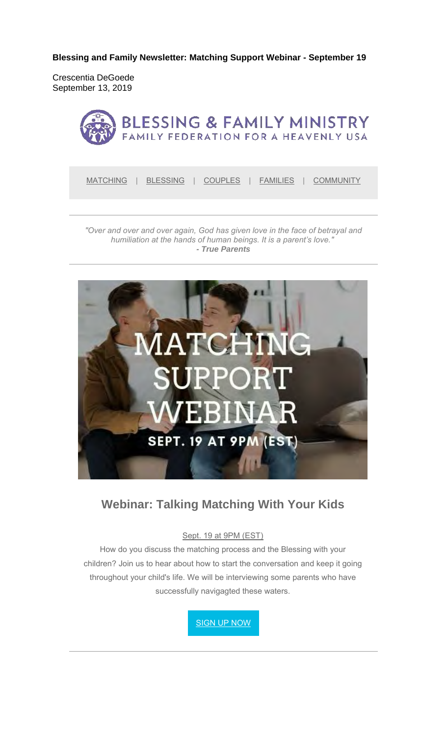**Blessing and Family Newsletter: Matching Support Webinar - September 19**

Crescentia DeGoede September 13, 2019



MATCHING | BLESSING | COUPLES | FAMILIES | COMMUNITY

*"Over and over and over again, God has given love in the face of betrayal and humiliation at the hands of human beings. It is a parent's love." - True Parents*



### **Webinar: Talking Matching With Your Kids**

#### Sept. 19 at 9PM (EST)

How do you discuss the matching process and the Blessing with your children? Join us to hear about how to start the conversation and keep it going throughout your child's life. We will be interviewing some parents who have successfully navigagted these waters.

SIGN UP NOW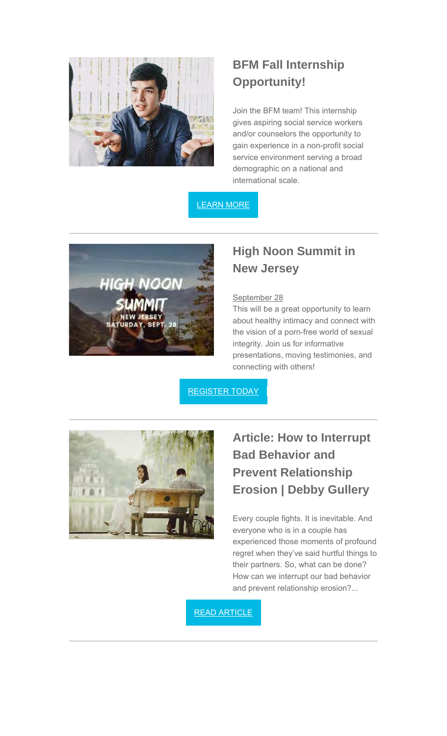

## **BFM Fall Internship Opportunity!**

Join the BFM team! This internship gives aspiring social service workers and/or counselors the opportunity to gain experience in a non-profit social service environment serving a broad demographic on a national and international scale.

### LEARN MORE



### **High Noon Summit in New Jersey**

#### September 28

This will be a great opportunity to learn about healthy intimacy and connect with the vision of a porn-free world of sexual integrity. Join us for informative presentations, moving testimonies, and connecting with others!

REGISTER TODAY



# **Article: How to Interrupt Bad Behavior and Prevent Relationship Erosion | Debby Gullery**

Every couple fights. It is inevitable. And everyone who is in a couple has experienced those moments of profound regret when they've said hurtful things to their partners. So, what can be done? How can we interrupt our bad behavior and prevent relationship erosion?...

READ ARTICLE